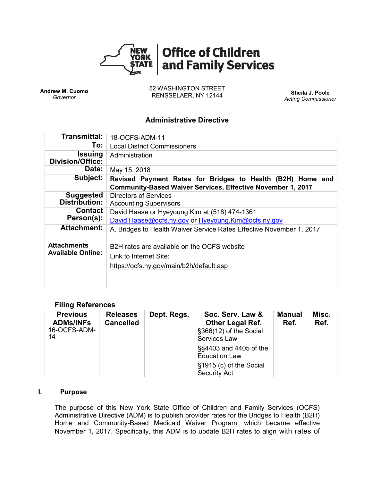

**Andrew M. Cuomo** *Governor*

52 WASHINGTON STREET RENSSELAER, NY 12144 **Sheila J. Poole**

*Acting Commissioner*

## **Administrative Directive**

| Transmittal:                                   | 18-OCFS-ADM-11                                                                                                            |  |  |  |  |
|------------------------------------------------|---------------------------------------------------------------------------------------------------------------------------|--|--|--|--|
| To:                                            | <b>Local District Commissioners</b>                                                                                       |  |  |  |  |
| Issuing<br>Division/Office:                    | Administration                                                                                                            |  |  |  |  |
| Date:                                          | May 15, 2018                                                                                                              |  |  |  |  |
| Subject:                                       | Revised Payment Rates for Bridges to Health (B2H) Home and<br>Community-Based Waiver Services, Effective November 1, 2017 |  |  |  |  |
| <b>Suggested</b><br><b>Distribution:</b>       | <b>Directors of Services</b><br><b>Accounting Supervisors</b>                                                             |  |  |  |  |
| <b>Contact</b><br>Person(s):                   | David Haase or Hyeyoung Kim at (518) 474-1361<br>David.Haase@ocfs.ny.gov or Hyeyoung.Kim@ocfs.ny.gov                      |  |  |  |  |
| <b>Attachment:</b>                             | A. Bridges to Health Waiver Service Rates Effective November 1, 2017                                                      |  |  |  |  |
| <b>Attachments</b><br><b>Available Online:</b> | B2H rates are available on the OCFS website                                                                               |  |  |  |  |
|                                                | Link to Internet Site:                                                                                                    |  |  |  |  |
|                                                | https://ocfs.ny.gov/main/b2h/default.asp                                                                                  |  |  |  |  |
|                                                |                                                                                                                           |  |  |  |  |

## **Filing References**

| <b>Previous</b><br><b>ADMs/INFs</b> | <b>Releases</b><br><b>Cancelled</b> | Dept. Regs. | Soc. Serv. Law &<br><b>Other Legal Ref.</b>    | Manual<br>Ref. | Misc.<br>Ref. |
|-------------------------------------|-------------------------------------|-------------|------------------------------------------------|----------------|---------------|
| 16-OCFS-ADM-<br>14                  |                                     |             | §366(12) of the Social<br>Services Law         |                |               |
|                                     |                                     |             | §§4403 and 4405 of the<br><b>Education Law</b> |                |               |
|                                     |                                     |             | §1915 (c) of the Social<br><b>Security Act</b> |                |               |

#### **I. Purpose**

The purpose of this New York State Office of Children and Family Services (OCFS) Administrative Directive (ADM) is to publish provider rates for the Bridges to Health (B2H) Home and Community-Based Medicaid Waiver Program, which became effective November 1, 2017. Specifically, this ADM is to update B2H rates to align with rates of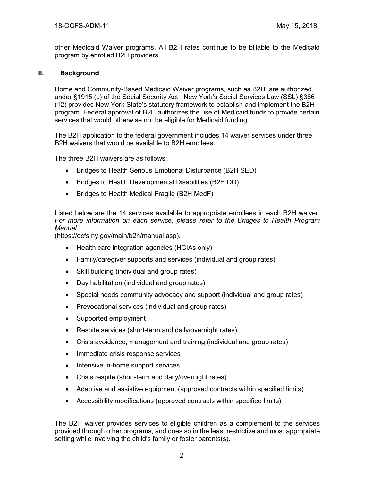other Medicaid Waiver programs. All B2H rates continue to be billable to the Medicaid program by enrolled B2H providers.

### **II. Background**

Home and Community-Based Medicaid Waiver programs, such as B2H, are authorized under §1915 (c) of the Social Security Act. New York's Social Services Law (SSL) §366 (12) provides New York State's statutory framework to establish and implement the B2H program. Federal approval of B2H authorizes the use of Medicaid funds to provide certain services that would otherwise not be eligible for Medicaid funding.

The B2H application to the federal government includes 14 waiver services under three B2H waivers that would be available to B2H enrollees.

The three B2H waivers are as follows:

- Bridges to Health Serious Emotional Disturbance (B2H SED)
- Bridges to Health Developmental Disabilities (B2H DD)
- Bridges to Health Medical Fragile (B2H MedF)

Listed below are the 14 services available to appropriate enrollees in each B2H waiver. *For more information on each service, please refer to the Bridges to Health Program Manual*

(https://ocfs.ny.gov/main/b2h/manual.asp).

- Health care integration agencies (HCIAs only)
- Family/caregiver supports and services (individual and group rates)
- Skill building (individual and group rates)
- Day habilitation (individual and group rates)
- Special needs community advocacy and support (individual and group rates)
- Prevocational services (individual and group rates)
- Supported employment
- Respite services (short-term and daily/overnight rates)
- Crisis avoidance, management and training (individual and group rates)
- Immediate crisis response services
- Intensive in-home support services
- Crisis respite (short-term and daily/overnight rates)
- Adaptive and assistive equipment (approved contracts within specified limits)
- Accessibility modifications (approved contracts within specified limits)

The B2H waiver provides services to eligible children as a complement to the services provided through other programs, and does so in the least restrictive and most appropriate setting while involving the child's family or foster parents(s).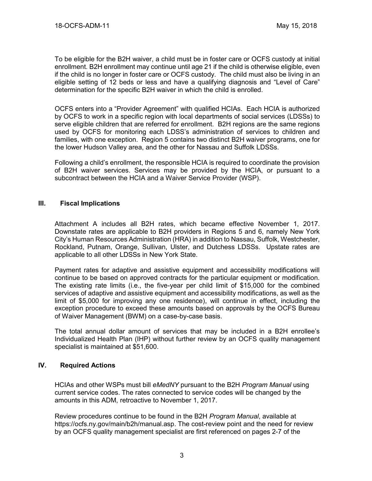To be eligible for the B2H waiver, a child must be in foster care or OCFS custody at initial enrollment. B2H enrollment may continue until age 21 if the child is otherwise eligible, even if the child is no longer in foster care or OCFS custody. The child must also be living in an eligible setting of 12 beds or less and have a qualifying diagnosis and "Level of Care" determination for the specific B2H waiver in which the child is enrolled.

OCFS enters into a "Provider Agreement" with qualified HCIAs. Each HCIA is authorized by OCFS to work in a specific region with local departments of social services (LDSSs) to serve eligible children that are referred for enrollment. B2H regions are the same regions used by OCFS for monitoring each LDSS's administration of services to children and families, with one exception. Region 5 contains two distinct B2H waiver programs, one for the lower Hudson Valley area, and the other for Nassau and Suffolk LDSSs.

Following a child's enrollment, the responsible HCIA is required to coordinate the provision of B2H waiver services. Services may be provided by the HCIA, or pursuant to a subcontract between the HCIA and a Waiver Service Provider (WSP).

### **III. Fiscal Implications**

Attachment A includes all B2H rates, which became effective November 1, 2017. Downstate rates are applicable to B2H providers in Regions 5 and 6, namely New York City's Human Resources Administration (HRA) in addition to Nassau, Suffolk, Westchester, Rockland, Putnam, Orange, Sullivan, Ulster, and Dutchess LDSSs. Upstate rates are applicable to all other LDSSs in New York State.

Payment rates for adaptive and assistive equipment and accessibility modifications will continue to be based on approved contracts for the particular equipment or modification. The existing rate limits (i.e., the five-year per child limit of \$15,000 for the combined services of adaptive and assistive equipment and accessibility modifications, as well as the limit of \$5,000 for improving any one residence), will continue in effect, including the exception procedure to exceed these amounts based on approvals by the OCFS Bureau of Waiver Management (BWM) on a case-by-case basis.

The total annual dollar amount of services that may be included in a B2H enrollee's Individualized Health Plan (IHP) without further review by an OCFS quality management specialist is maintained at \$51,600.

## **IV. Required Actions**

HCIAs and other WSPs must bill *eMedNY* pursuant to the B2H *Program Manual* using current service codes. The rates connected to service codes will be changed by the amounts in this ADM, retroactive to November 1, 2017.

Review procedures continue to be found in the B2H *Program Manual*, available at https://ocfs.ny.gov/main/b2h/manual.asp. The cost-review point and the need for review by an OCFS quality management specialist are first referenced on pages 2-7 of the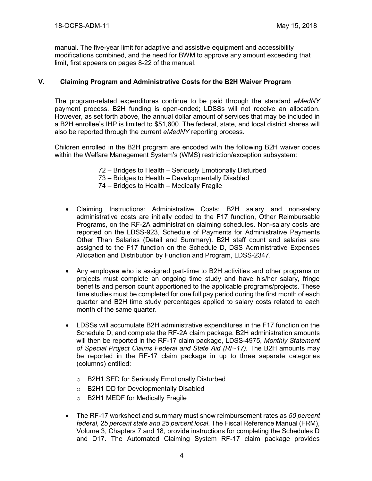manual. The five-year limit for adaptive and assistive equipment and accessibility modifications combined, and the need for BWM to approve any amount exceeding that limit, first appears on pages 8-22 of the manual.

## **V. Claiming Program and Administrative Costs for the B2H Waiver Program**

The program-related expenditures continue to be paid through the standard *eMedNY* payment process. B2H funding is open-ended; LDSSs will not receive an allocation. However, as set forth above, the annual dollar amount of services that may be included in a B2H enrollee's IHP is limited to \$51,600. The federal, state, and local district shares will also be reported through the current *eMedNY* reporting process.

Children enrolled in the B2H program are encoded with the following B2H waiver codes within the Welfare Management System's (WMS) restriction/exception subsystem:

- 72 Bridges to Health Seriously Emotionally Disturbed
- 73 Bridges to Health Developmentally Disabled
- 74 Bridges to Health Medically Fragile
- Claiming Instructions: Administrative Costs: B2H salary and non-salary administrative costs are initially coded to the F17 function, Other Reimbursable Programs, on the RF-2A administration claiming schedules. Non-salary costs are reported on the LDSS-923, Schedule of Payments for Administrative Payments Other Than Salaries (Detail and Summary). B2H staff count and salaries are assigned to the F17 function on the Schedule D, DSS Administrative Expenses Allocation and Distribution by Function and Program, LDSS-2347.
- Any employee who is assigned part-time to B2H activities and other programs or projects must complete an ongoing time study and have his/her salary, fringe benefits and person count apportioned to the applicable programs/projects. These time studies must be completed for one full pay period during the first month of each quarter and B2H time study percentages applied to salary costs related to each month of the same quarter.
- LDSSs will accumulate B2H administrative expenditures in the F17 function on the Schedule D, and complete the RF-2A claim package. B2H administration amounts will then be reported in the RF-17 claim package, LDSS-4975, *Monthly Statement of Special Project Claims Federal and State Aid (RF-17).* The B2H amounts may be reported in the RF-17 claim package in up to three separate categories (columns) entitled:
	- o B2H1 SED for Seriously Emotionally Disturbed
	- o B2H1 DD for Developmentally Disabled
	- o B2H1 MEDF for Medically Fragile
- The RF-17 worksheet and summary must show reimbursement rates as *50 percent federal, 25 percent state and 25 percent local*. The Fiscal Reference Manual (FRM), Volume 3, Chapters 7 and 18, provide instructions for completing the Schedules D and D17. The Automated Claiming System RF-17 claim package provides